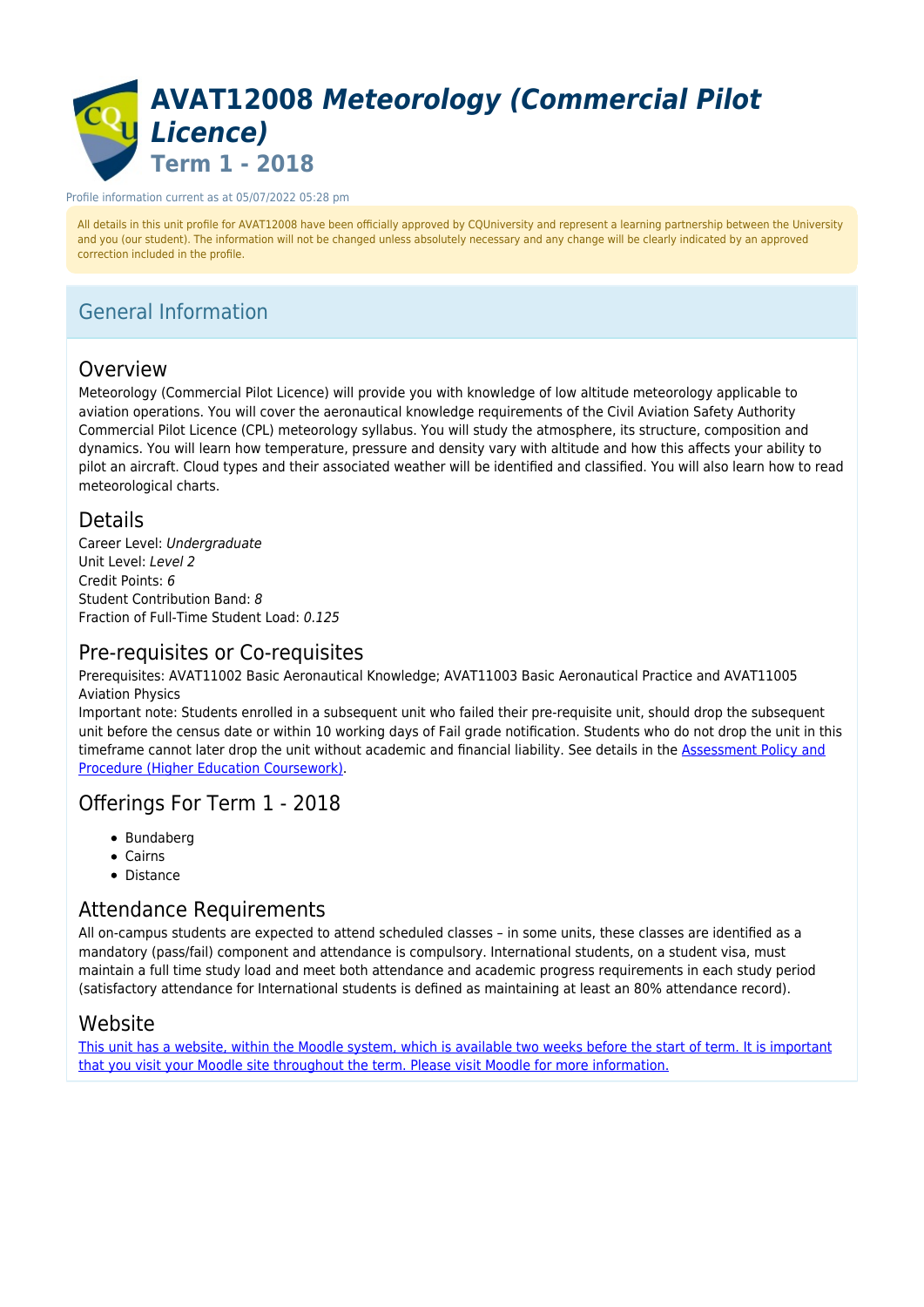

#### Profile information current as at 05/07/2022 05:28 pm

All details in this unit profile for AVAT12008 have been officially approved by CQUniversity and represent a learning partnership between the University and you (our student). The information will not be changed unless absolutely necessary and any change will be clearly indicated by an approved correction included in the profile.

# General Information

## Overview

Meteorology (Commercial Pilot Licence) will provide you with knowledge of low altitude meteorology applicable to aviation operations. You will cover the aeronautical knowledge requirements of the Civil Aviation Safety Authority Commercial Pilot Licence (CPL) meteorology syllabus. You will study the atmosphere, its structure, composition and dynamics. You will learn how temperature, pressure and density vary with altitude and how this affects your ability to pilot an aircraft. Cloud types and their associated weather will be identified and classified. You will also learn how to read meteorological charts.

### Details

Career Level: Undergraduate Unit Level: Level 2 Credit Points: 6 Student Contribution Band: 8 Fraction of Full-Time Student Load: 0.125

### Pre-requisites or Co-requisites

Prerequisites: AVAT11002 Basic Aeronautical Knowledge; AVAT11003 Basic Aeronautical Practice and AVAT11005 Aviation Physics

Important note: Students enrolled in a subsequent unit who failed their pre-requisite unit, should drop the subsequent unit before the census date or within 10 working days of Fail grade notification. Students who do not drop the unit in this timeframe cannot later drop the unit without academic and financial liability. See details in the [Assessment Policy and](https://www.cqu.edu.au/policy) [Procedure \(Higher Education Coursework\)](https://www.cqu.edu.au/policy).

# Offerings For Term 1 - 2018

- Bundaberg
- Cairns
- Distance

# Attendance Requirements

All on-campus students are expected to attend scheduled classes – in some units, these classes are identified as a mandatory (pass/fail) component and attendance is compulsory. International students, on a student visa, must maintain a full time study load and meet both attendance and academic progress requirements in each study period (satisfactory attendance for International students is defined as maintaining at least an 80% attendance record).

## Website

[This unit has a website, within the Moodle system, which is available two weeks before the start of term. It is important](https://moodle.cqu.edu.au) [that you visit your Moodle site throughout the term. Please visit Moodle for more information.](https://moodle.cqu.edu.au)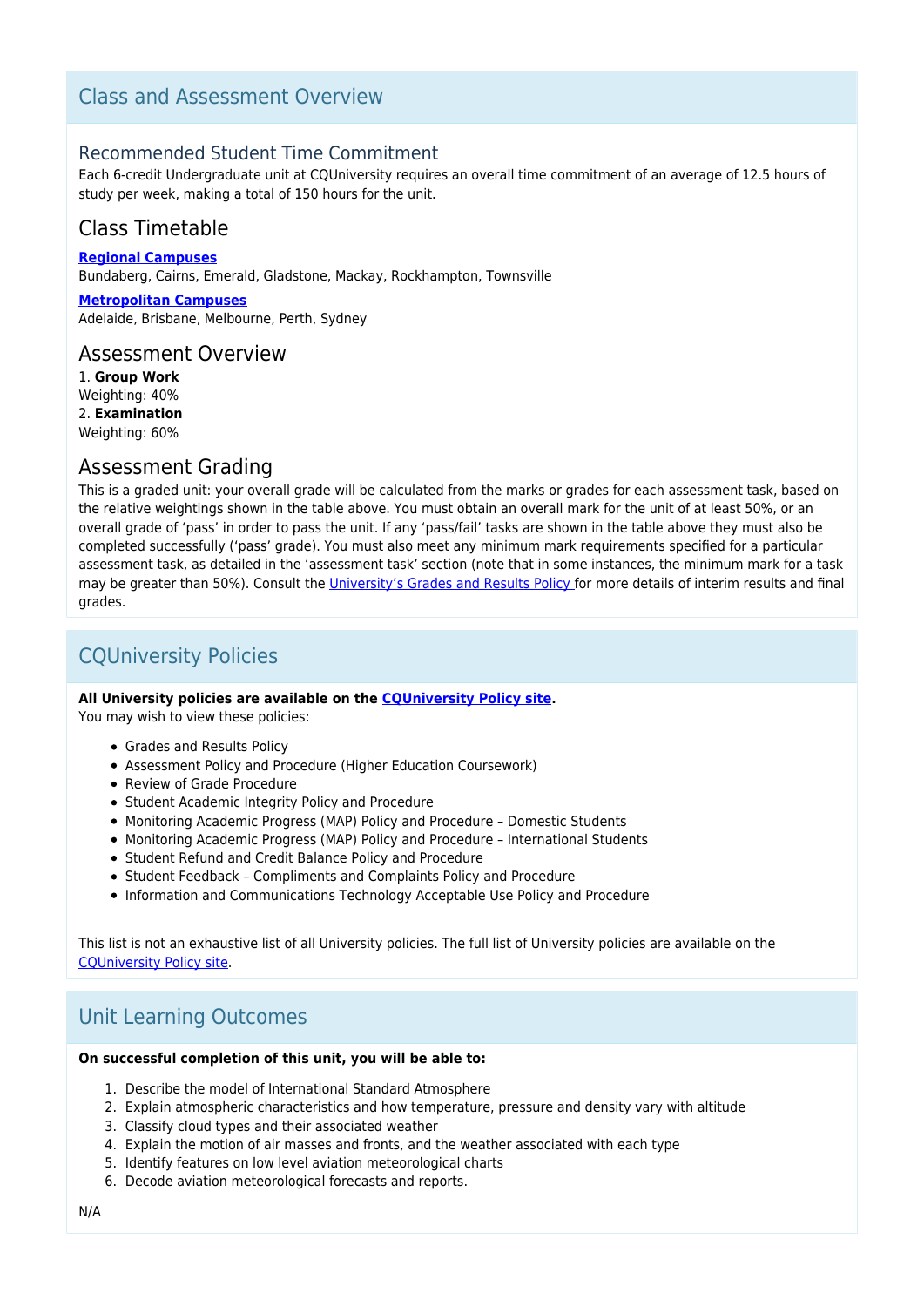# Class and Assessment Overview

### Recommended Student Time Commitment

Each 6-credit Undergraduate unit at CQUniversity requires an overall time commitment of an average of 12.5 hours of study per week, making a total of 150 hours for the unit.

# Class Timetable

**[Regional Campuses](https://handbook.cqu.edu.au/facet/timetables)**

Bundaberg, Cairns, Emerald, Gladstone, Mackay, Rockhampton, Townsville

**[Metropolitan Campuses](https://handbook.cqu.edu.au/facet/timetables)** Adelaide, Brisbane, Melbourne, Perth, Sydney

### Assessment Overview

1. **Group Work** Weighting: 40% 2. **Examination** Weighting: 60%

## Assessment Grading

This is a graded unit: your overall grade will be calculated from the marks or grades for each assessment task, based on the relative weightings shown in the table above. You must obtain an overall mark for the unit of at least 50%, or an overall grade of 'pass' in order to pass the unit. If any 'pass/fail' tasks are shown in the table above they must also be completed successfully ('pass' grade). You must also meet any minimum mark requirements specified for a particular assessment task, as detailed in the 'assessment task' section (note that in some instances, the minimum mark for a task may be greater than 50%). Consult the [University's Grades and Results Policy](https://www.cqu.edu.au/policy) for more details of interim results and final grades.

# CQUniversity Policies

#### **All University policies are available on the [CQUniversity Policy site.](https://policy.cqu.edu.au/)**

You may wish to view these policies:

- Grades and Results Policy
- Assessment Policy and Procedure (Higher Education Coursework)
- Review of Grade Procedure
- Student Academic Integrity Policy and Procedure
- Monitoring Academic Progress (MAP) Policy and Procedure Domestic Students
- Monitoring Academic Progress (MAP) Policy and Procedure International Students
- Student Refund and Credit Balance Policy and Procedure
- Student Feedback Compliments and Complaints Policy and Procedure
- Information and Communications Technology Acceptable Use Policy and Procedure

This list is not an exhaustive list of all University policies. The full list of University policies are available on the [CQUniversity Policy site.](https://policy.cqu.edu.au/)

# Unit Learning Outcomes

#### **On successful completion of this unit, you will be able to:**

- 1. Describe the model of International Standard Atmosphere
- 2. Explain atmospheric characteristics and how temperature, pressure and density vary with altitude
- 3. Classify cloud types and their associated weather
- 4. Explain the motion of air masses and fronts, and the weather associated with each type
- 5. Identify features on low level aviation meteorological charts
- 6. Decode aviation meteorological forecasts and reports.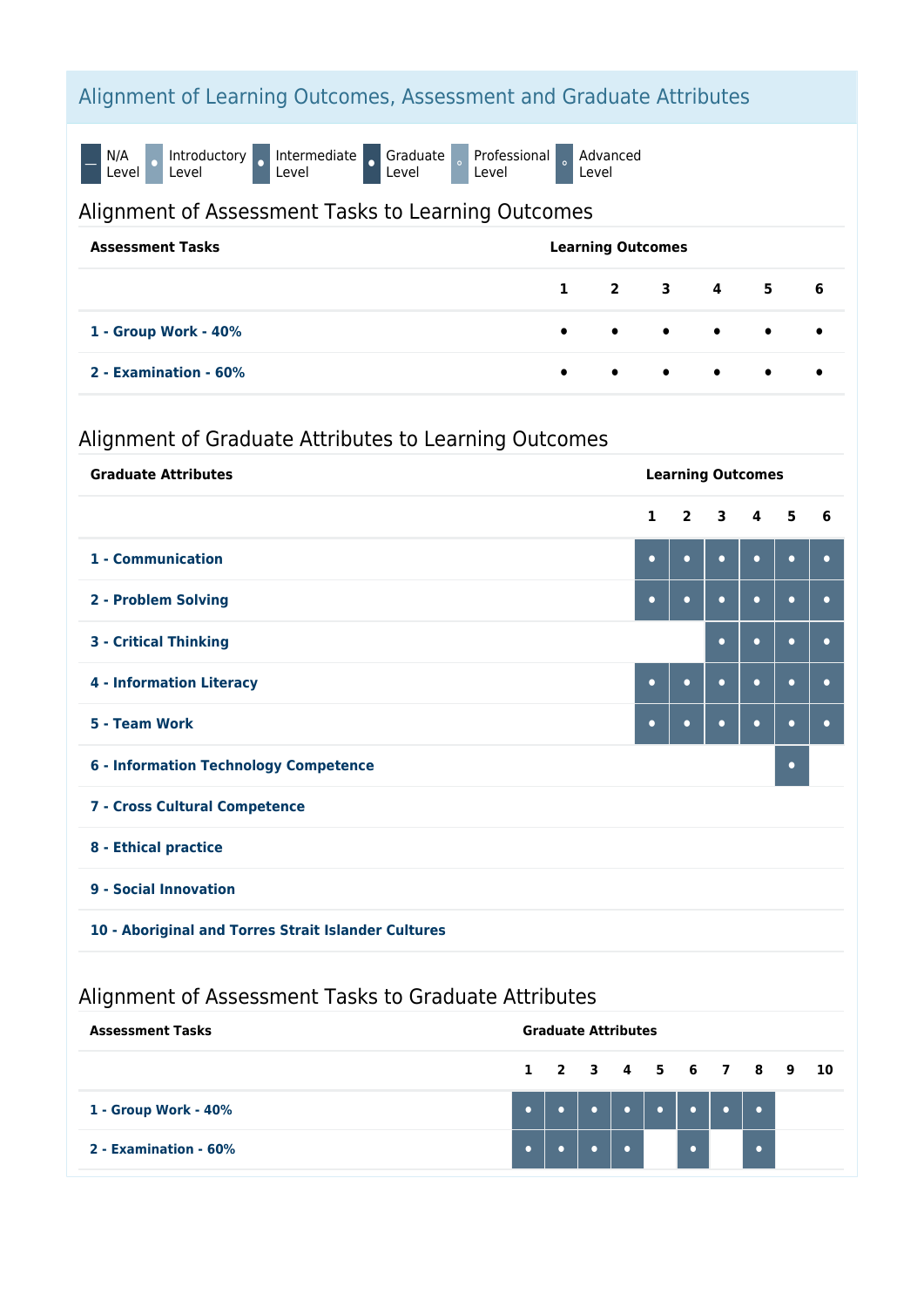# Alignment of Learning Outcomes, Assessment and Graduate Attributes

N/A<br>Level O Introductory o Intermediate o Graduate Level Professional Level Advanced Level

# Alignment of Assessment Tasks to Learning Outcomes

| <b>Assessment Tasks</b> | <b>Learning Outcomes</b> |  |  |  |                                                                                                                                            |  |
|-------------------------|--------------------------|--|--|--|--------------------------------------------------------------------------------------------------------------------------------------------|--|
|                         |                          |  |  |  | $1$ 2 3 4 5 6                                                                                                                              |  |
| 1 - Group Work - 40%    |                          |  |  |  | $\begin{array}{ccccccccccccccccccccc} \bullet & \bullet & \bullet & \bullet & \bullet & \bullet & \bullet & \bullet & \bullet \end{array}$ |  |
| 2 - Examination - 60%   |                          |  |  |  | $\begin{array}{ccccccccccccccccccccc} \bullet & \bullet & \bullet & \bullet & \bullet & \bullet & \bullet & \bullet & \bullet \end{array}$ |  |

# Alignment of Graduate Attributes to Learning Outcomes

| <b>Graduate Attributes</b>                          | <b>Learning Outcomes</b> |           |             |                |           |           |
|-----------------------------------------------------|--------------------------|-----------|-------------|----------------|-----------|-----------|
|                                                     | $\mathbf{1}$             |           | $2 \quad 3$ | $\overline{4}$ | 5         | 6         |
| 1 - Communication                                   | $\bullet$                | $\bullet$ | $\bullet$   | $\bullet$      | $\bullet$ | $\bullet$ |
| 2 - Problem Solving                                 | $\bullet$                | $\bullet$ | $\bullet$   | $\bullet$      | $\bullet$ | $\bullet$ |
| <b>3 - Critical Thinking</b>                        |                          |           | $\bullet$   | $\bullet$      | $\bullet$ | $\bullet$ |
| <b>4 - Information Literacy</b>                     | $\bullet$                | $\bullet$ | $\bullet$   | $\bullet$      | $\bullet$ | $\bullet$ |
| 5 - Team Work                                       | $\bullet$                | $\bullet$ | $\bullet$   | $\bullet$      | $\bullet$ | $\bullet$ |
| <b>6 - Information Technology Competence</b>        |                          |           |             |                | $\bullet$ |           |
| 7 - Cross Cultural Competence                       |                          |           |             |                |           |           |
| 8 - Ethical practice                                |                          |           |             |                |           |           |
| 9 - Social Innovation                               |                          |           |             |                |           |           |
| 10 - Aboriginal and Torres Strait Islander Cultures |                          |           |             |                |           |           |

# Alignment of Assessment Tasks to Graduate Attributes

| <b>Assessment Tasks</b> |  | <b>Graduate Attributes</b>                                                                                                                                                                                                                                                                                                                                                                                                                                                                  |  |  |  |
|-------------------------|--|---------------------------------------------------------------------------------------------------------------------------------------------------------------------------------------------------------------------------------------------------------------------------------------------------------------------------------------------------------------------------------------------------------------------------------------------------------------------------------------------|--|--|--|
|                         |  | 1 2 3 4 5 6 7 8 9 10                                                                                                                                                                                                                                                                                                                                                                                                                                                                        |  |  |  |
| 1 - Group Work - 40%    |  |                                                                                                                                                                                                                                                                                                                                                                                                                                                                                             |  |  |  |
| 2 - Examination - 60%   |  | $\begin{array}{c c c c c c c c c} \hline \multicolumn{3}{c }{\bullet} & \multicolumn{3}{c }{\bullet} & \multicolumn{3}{c }{\bullet} & \multicolumn{3}{c }{\bullet} \\ \hline \multicolumn{3}{c }{\bullet} & \multicolumn{3}{c }{\bullet} & \multicolumn{3}{c }{\bullet} & \multicolumn{3}{c }{\bullet} & \multicolumn{3}{c }{\bullet} \\ \hline \multicolumn{3}{c }{\bullet} & \multicolumn{3}{c }{\bullet} & \multicolumn{3}{c }{\bullet} & \multicolumn{3}{c }{\bullet} & \multicolumn{3$ |  |  |  |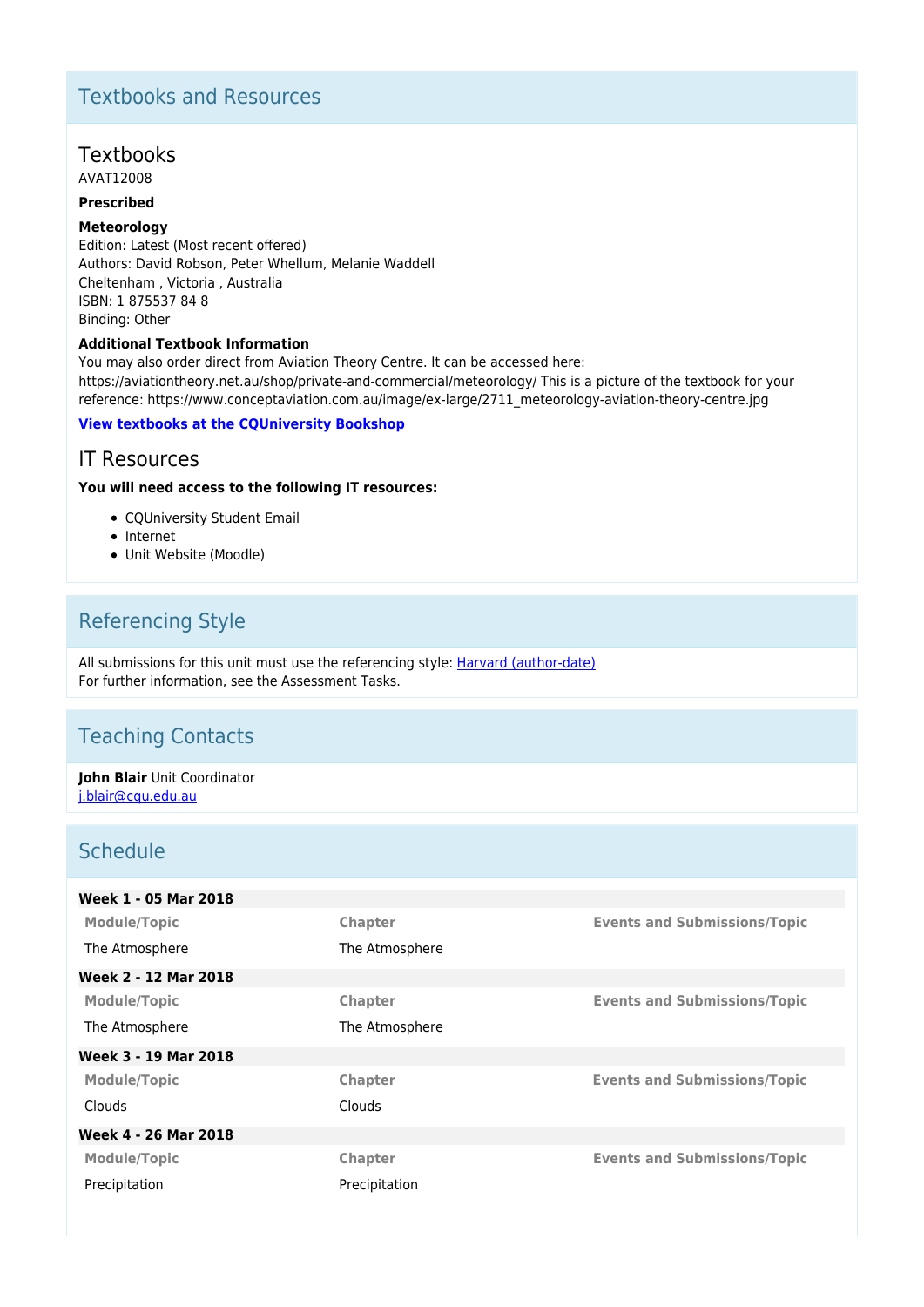# Textbooks and Resources

## **Textbooks**

AVAT12008

### **Prescribed**

#### **Meteorology**

Edition: Latest (Most recent offered) Authors: David Robson, Peter Whellum, Melanie Waddell Cheltenham , Victoria , Australia ISBN: 1 875537 84 8 Binding: Other

### **Additional Textbook Information**

You may also order direct from Aviation Theory Centre. It can be accessed here: https://aviationtheory.net.au/shop/private-and-commercial/meteorology/ This is a picture of the textbook for your reference: https://www.conceptaviation.com.au/image/ex-large/2711\_meteorology-aviation-theory-centre.jpg

### **[View textbooks at the CQUniversity Bookshop](https://bookshop.cqu.edu.au/)**

### IT Resources

#### **You will need access to the following IT resources:**

- CQUniversity Student Email
- Internet
- Unit Website (Moodle)

# Referencing Style

All submissions for this unit must use the referencing style: [Harvard \(author-date\)](https://delivery-cqucontenthub.stylelabs.cloud/api/public/content/harvard-referencing-style.pdf?v=306efe7e) For further information, see the Assessment Tasks.

# Teaching Contacts

**John Blair** Unit Coordinator [j.blair@cqu.edu.au](mailto:j.blair@cqu.edu.au)

# Schedule

| Week 1 - 05 Mar 2018 |                |                                     |
|----------------------|----------------|-------------------------------------|
| <b>Module/Topic</b>  | <b>Chapter</b> | <b>Events and Submissions/Topic</b> |
| The Atmosphere       | The Atmosphere |                                     |
| Week 2 - 12 Mar 2018 |                |                                     |
| <b>Module/Topic</b>  | <b>Chapter</b> | <b>Events and Submissions/Topic</b> |
| The Atmosphere       | The Atmosphere |                                     |
| Week 3 - 19 Mar 2018 |                |                                     |
| <b>Module/Topic</b>  | Chapter        | <b>Events and Submissions/Topic</b> |
| Clouds               | Clouds.        |                                     |
| Week 4 - 26 Mar 2018 |                |                                     |
| <b>Module/Topic</b>  | Chapter        | <b>Events and Submissions/Topic</b> |
| Precipitation        | Precipitation  |                                     |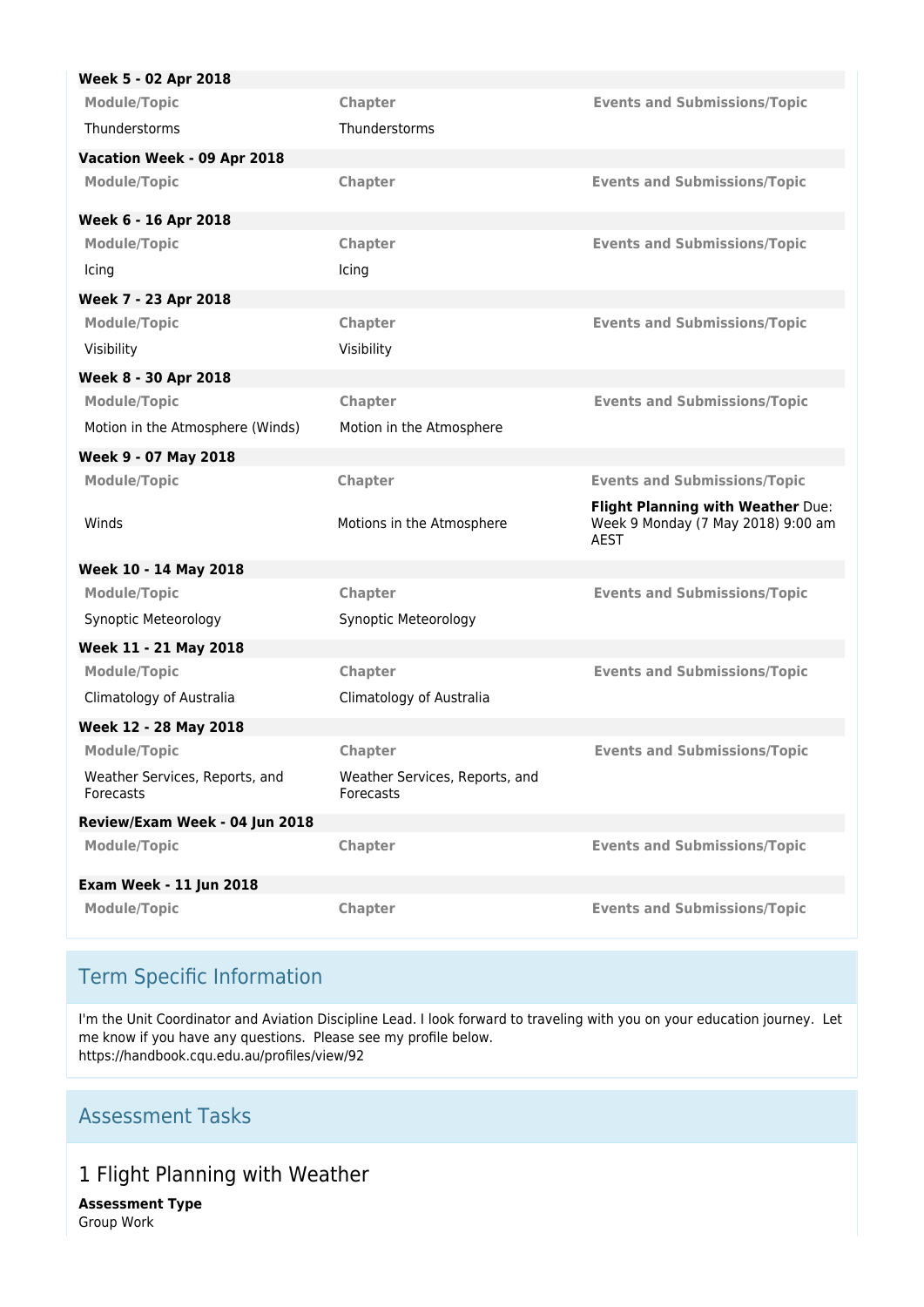| Week 5 - 02 Apr 2018                        |                                             |                                                   |
|---------------------------------------------|---------------------------------------------|---------------------------------------------------|
| <b>Module/Topic</b>                         | Chapter                                     | <b>Events and Submissions/Topic</b>               |
| Thunderstorms                               | Thunderstorms                               |                                                   |
| Vacation Week - 09 Apr 2018                 |                                             |                                                   |
| <b>Module/Topic</b>                         | Chapter                                     | <b>Events and Submissions/Topic</b>               |
| Week 6 - 16 Apr 2018                        |                                             |                                                   |
| <b>Module/Topic</b>                         | Chapter                                     | <b>Events and Submissions/Topic</b>               |
| Icing                                       | <b>Icing</b>                                |                                                   |
| Week 7 - 23 Apr 2018                        |                                             |                                                   |
| <b>Module/Topic</b>                         | Chapter                                     | <b>Events and Submissions/Topic</b>               |
| Visibility                                  | Visibility                                  |                                                   |
| Week 8 - 30 Apr 2018                        |                                             |                                                   |
| <b>Module/Topic</b>                         | Chapter                                     | <b>Events and Submissions/Topic</b>               |
| Motion in the Atmosphere (Winds)            | Motion in the Atmosphere                    |                                                   |
| Week 9 - 07 May 2018                        |                                             |                                                   |
| <b>Module/Topic</b>                         | Chapter                                     | <b>Events and Submissions/Topic</b>               |
|                                             |                                             | Flight Planning with Weather Due:                 |
| Winds                                       | Motions in the Atmosphere                   | Week 9 Monday (7 May 2018) 9:00 am<br><b>AEST</b> |
| Week 10 - 14 May 2018                       |                                             |                                                   |
| <b>Module/Topic</b>                         | Chapter                                     | <b>Events and Submissions/Topic</b>               |
| Synoptic Meteorology                        | Synoptic Meteorology                        |                                                   |
| Week 11 - 21 May 2018                       |                                             |                                                   |
| <b>Module/Topic</b>                         | Chapter                                     | <b>Events and Submissions/Topic</b>               |
| Climatology of Australia                    | Climatology of Australia                    |                                                   |
| Week 12 - 28 May 2018                       |                                             |                                                   |
| <b>Module/Topic</b>                         | Chapter                                     | <b>Events and Submissions/Topic</b>               |
| Weather Services, Reports, and<br>Forecasts | Weather Services, Reports, and<br>Forecasts |                                                   |
| Review/Exam Week - 04 Jun 2018              |                                             |                                                   |
| <b>Module/Topic</b>                         | Chapter                                     | <b>Events and Submissions/Topic</b>               |
| <b>Exam Week - 11 Jun 2018</b>              |                                             |                                                   |

# Term Specific Information

I'm the Unit Coordinator and Aviation Discipline Lead. I look forward to traveling with you on your education journey. Let me know if you have any questions. Please see my profile below. https://handbook.cqu.edu.au/profiles/view/92

# Assessment Tasks

# 1 Flight Planning with Weather

**Assessment Type** Group Work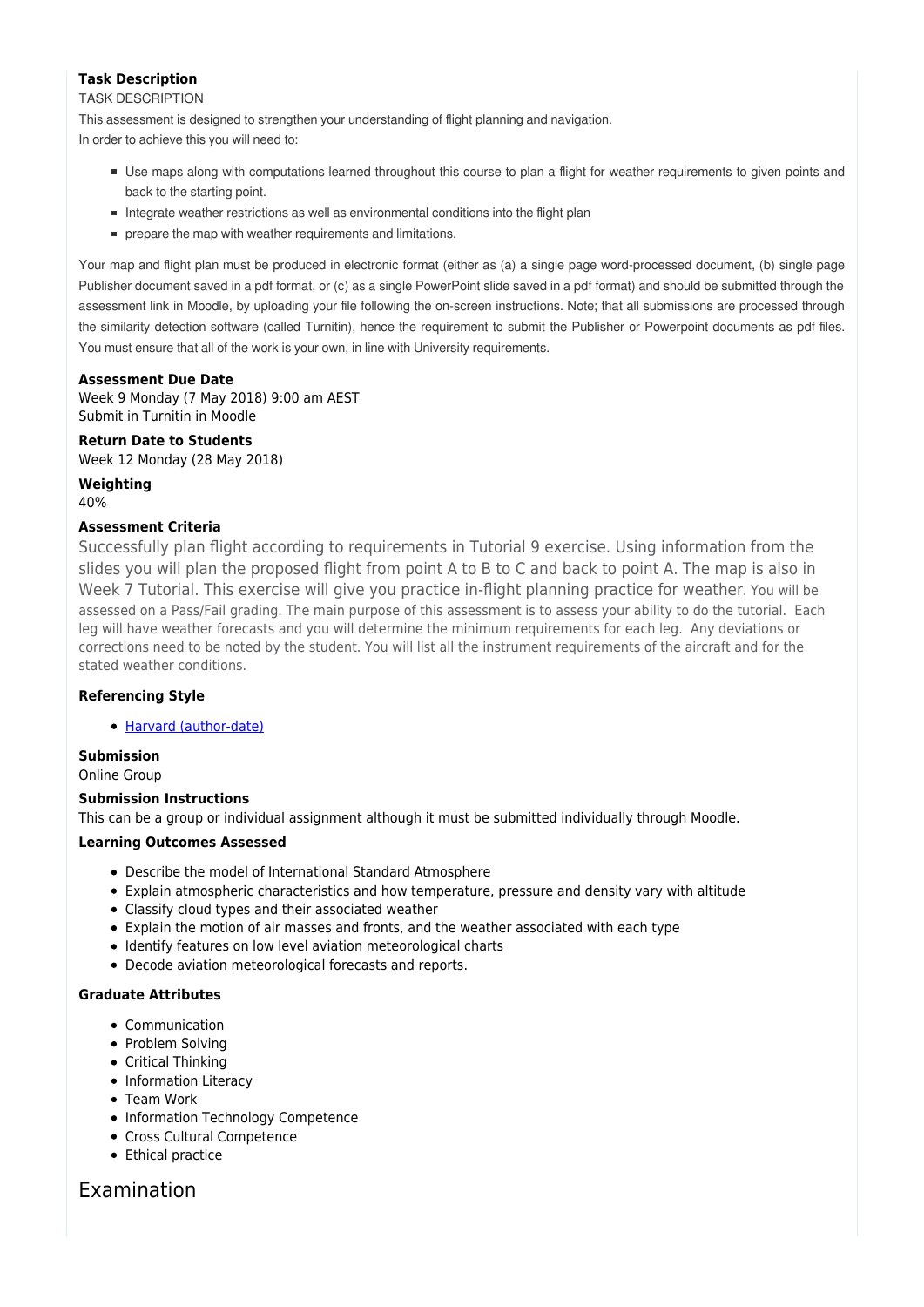#### **Task Description**

#### TASK DESCRIPTION

This assessment is designed to strengthen your understanding of flight planning and navigation. In order to achieve this you will need to:

- Use maps along with computations learned throughout this course to plan a flight for weather requirements to given points and back to the starting point.
- Integrate weather restrictions as well as environmental conditions into the flight plan
- **PEDITE:** prepare the map with weather requirements and limitations.

Your map and flight plan must be produced in electronic format (either as (a) a single page word-processed document, (b) single page Publisher document saved in a pdf format, or (c) as a single PowerPoint slide saved in a pdf format) and should be submitted through the assessment link in Moodle, by uploading your file following the on-screen instructions. Note; that all submissions are processed through the similarity detection software (called Turnitin), hence the requirement to submit the Publisher or Powerpoint documents as pdf files. You must ensure that all of the work is your own, in line with University requirements.

#### **Assessment Due Date**

Week 9 Monday (7 May 2018) 9:00 am AEST Submit in Turnitin in Moodle

**Return Date to Students** Week 12 Monday (28 May 2018)

**Weighting** 40%

#### **Assessment Criteria**

Successfully plan flight according to requirements in Tutorial 9 exercise. Using information from the slides you will plan the proposed flight from point A to B to C and back to point A. The map is also in Week 7 Tutorial. This exercise will give you practice in-flight planning practice for weather. You will be assessed on a Pass/Fail grading. The main purpose of this assessment is to assess your ability to do the tutorial. Each leg will have weather forecasts and you will determine the minimum requirements for each leg. Any deviations or corrections need to be noted by the student. You will list all the instrument requirements of the aircraft and for the stated weather conditions.

#### **Referencing Style**

[Harvard \(author-date\)](https://delivery-cqucontenthub.stylelabs.cloud/api/public/content/harvard-referencing-style.pdf?v=306efe7e)

**Submission**

Online Group

#### **Submission Instructions**

This can be a group or individual assignment although it must be submitted individually through Moodle.

#### **Learning Outcomes Assessed**

- Describe the model of International Standard Atmosphere
- Explain atmospheric characteristics and how temperature, pressure and density vary with altitude
- Classify cloud types and their associated weather
- Explain the motion of air masses and fronts, and the weather associated with each type
- Identify features on low level aviation meteorological charts
- Decode aviation meteorological forecasts and reports.

#### **Graduate Attributes**

- Communication
- Problem Solving
- Critical Thinking
- Information Literacy
- Team Work
- Information Technology Competence
- Cross Cultural Competence
- Ethical practice

# Examination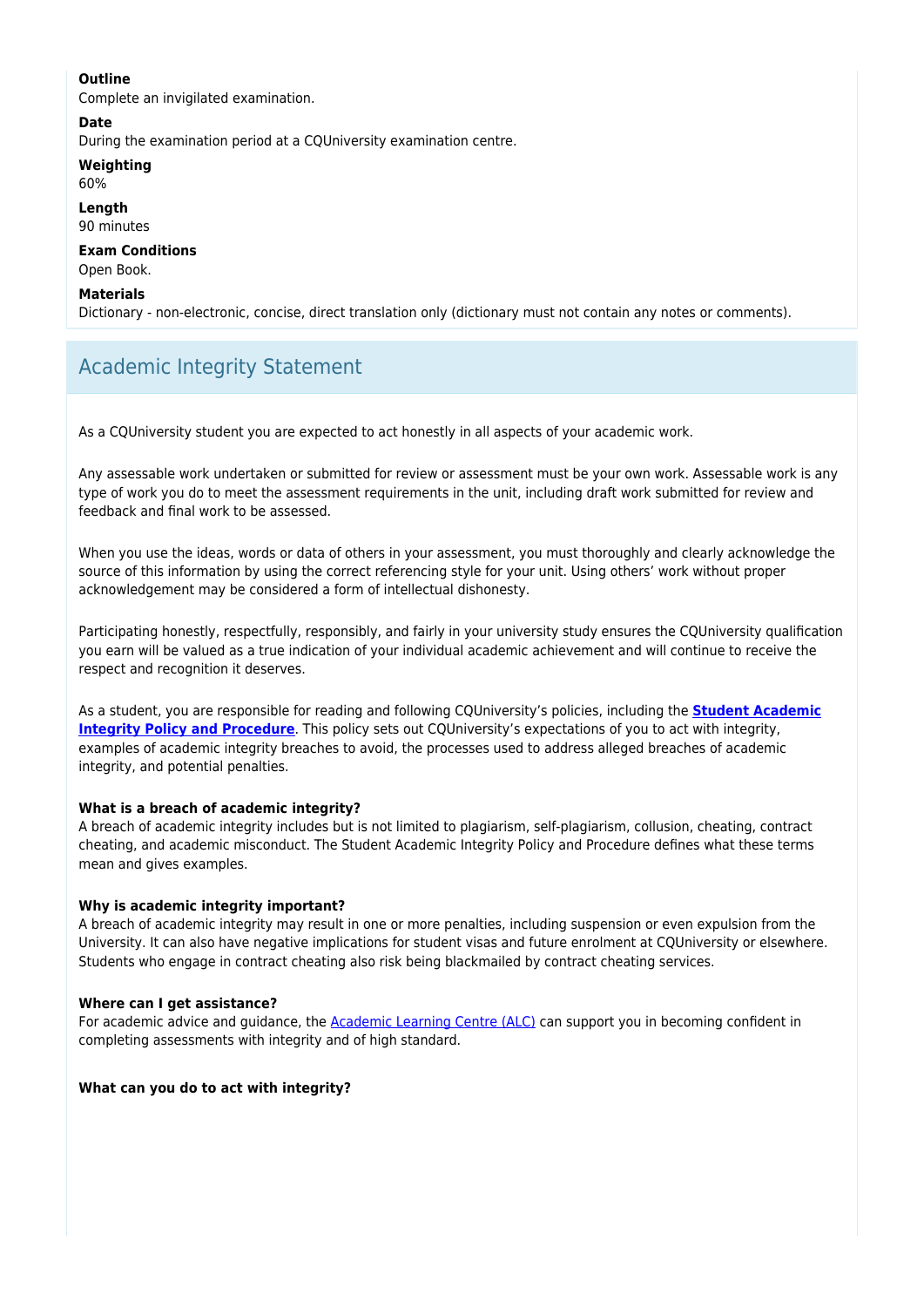#### **Outline**

Complete an invigilated examination.

### **Date**

During the examination period at a CQUniversity examination centre.

**Weighting** 60%

**Length** 90 minutes

**Exam Conditions** Open Book.

### **Materials**

Dictionary - non-electronic, concise, direct translation only (dictionary must not contain any notes or comments).

# Academic Integrity Statement

As a CQUniversity student you are expected to act honestly in all aspects of your academic work.

Any assessable work undertaken or submitted for review or assessment must be your own work. Assessable work is any type of work you do to meet the assessment requirements in the unit, including draft work submitted for review and feedback and final work to be assessed.

When you use the ideas, words or data of others in your assessment, you must thoroughly and clearly acknowledge the source of this information by using the correct referencing style for your unit. Using others' work without proper acknowledgement may be considered a form of intellectual dishonesty.

Participating honestly, respectfully, responsibly, and fairly in your university study ensures the CQUniversity qualification you earn will be valued as a true indication of your individual academic achievement and will continue to receive the respect and recognition it deserves.

As a student, you are responsible for reading and following CQUniversity's policies, including the **[Student Academic](https://www.cqu.edu.au/policy/sharepoint-document-download?file_uri={BE8380F3-F86D-4C55-AC0D-84A81EAFD6A2}/Student%20Academic%20Integrity%20Policy%20and%20Procedure%20(formerly%20known%20as%20the%20Academic%20Misconduct%20Procedure).pdf) [Integrity Policy and Procedure](https://www.cqu.edu.au/policy/sharepoint-document-download?file_uri={BE8380F3-F86D-4C55-AC0D-84A81EAFD6A2}/Student%20Academic%20Integrity%20Policy%20and%20Procedure%20(formerly%20known%20as%20the%20Academic%20Misconduct%20Procedure).pdf)**. This policy sets out CQUniversity's expectations of you to act with integrity, examples of academic integrity breaches to avoid, the processes used to address alleged breaches of academic integrity, and potential penalties.

### **What is a breach of academic integrity?**

A breach of academic integrity includes but is not limited to plagiarism, self-plagiarism, collusion, cheating, contract cheating, and academic misconduct. The Student Academic Integrity Policy and Procedure defines what these terms mean and gives examples.

### **Why is academic integrity important?**

A breach of academic integrity may result in one or more penalties, including suspension or even expulsion from the University. It can also have negative implications for student visas and future enrolment at CQUniversity or elsewhere. Students who engage in contract cheating also risk being blackmailed by contract cheating services.

### **Where can I get assistance?**

For academic advice and guidance, the **Academic Learning Centre (ALC)** can support you in becoming confident in completing assessments with integrity and of high standard.

### **What can you do to act with integrity?**